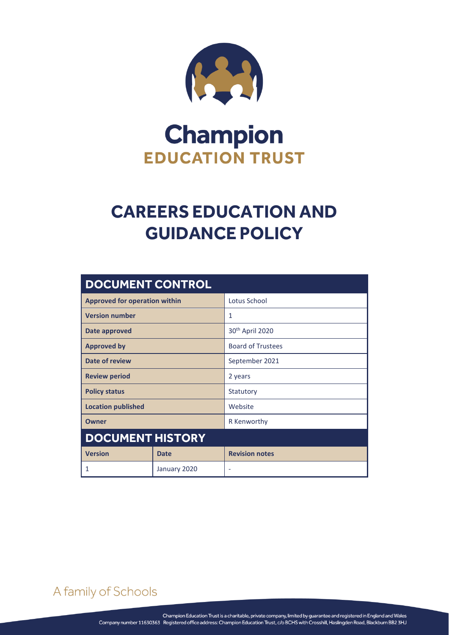

# **Champion EDUCATION TRUST**

## **CAREERS EDUCATION AND GUIDANCE POLICY**

| <b>DOCUMENT CONTROL</b>              |              |                             |
|--------------------------------------|--------------|-----------------------------|
| <b>Approved for operation within</b> |              | Lotus School                |
| <b>Version number</b>                |              | 1                           |
| Date approved                        |              | 30 <sup>th</sup> April 2020 |
| <b>Approved by</b>                   |              | <b>Board of Trustees</b>    |
| Date of review                       |              | September 2021              |
| <b>Review period</b>                 |              | 2 years                     |
| <b>Policy status</b>                 |              | Statutory                   |
| <b>Location published</b>            |              | Website                     |
| Owner                                |              | R Kenworthy                 |
| <b>DOCUMENT HISTORY</b>              |              |                             |
| <b>Version</b>                       | <b>Date</b>  | <b>Revision notes</b>       |
| 1                                    | January 2020 |                             |

A family of Schools

CAREERS EDUCATION AND GUIDANCE POLICY Page **0** of **2**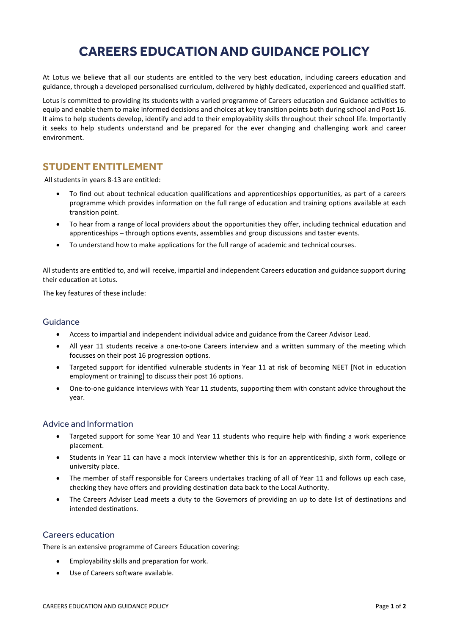## **CAREERS EDUCATION AND GUIDANCE POLICY**

At Lotus we believe that all our students are entitled to the very best education, including careers education and guidance, through a developed personalised curriculum, delivered by highly dedicated, experienced and qualified staff.

Lotus is committed to providing its students with a varied programme of Careers education and Guidance activities to equip and enable them to make informed decisions and choices at key transition points both during school and Post 16. It aims to help students develop, identify and add to their employability skills throughout their school life. Importantly it seeks to help students understand and be prepared for the ever changing and challenging work and career environment.

## **STUDENT ENTITLEMENT**

All students in years 8-13 are entitled:

- To find out about technical education qualifications and apprenticeships opportunities, as part of a careers programme which provides information on the full range of education and training options available at each transition point.
- To hear from a range of local providers about the opportunities they offer, including technical education and apprenticeships – through options events, assemblies and group discussions and taster events.
- To understand how to make applications for the full range of academic and technical courses.

All students are entitled to, and will receive, impartial and independent Careers education and guidance support during their education at Lotus.

The key features of these include:

### Guidance

- Access to impartial and independent individual advice and guidance from the Career Advisor Lead.
- All year 11 students receive a one-to-one Careers interview and a written summary of the meeting which focusses on their post 16 progression options.
- Targeted support for identified vulnerable students in Year 11 at risk of becoming NEET [Not in education employment or training] to discuss their post 16 options.
- One-to-one guidance interviews with Year 11 students, supporting them with constant advice throughout the year.

### Advice and Information

- Targeted support for some Year 10 and Year 11 students who require help with finding a work experience placement.
- Students in Year 11 can have a mock interview whether this is for an apprenticeship, sixth form, college or university place.
- The member of staff responsible for Careers undertakes tracking of all of Year 11 and follows up each case, checking they have offers and providing destination data back to the Local Authority.
- The Careers Adviser Lead meets a duty to the Governors of providing an up to date list of destinations and intended destinations.

### Careers education

There is an extensive programme of Careers Education covering:

- Employability skills and preparation for work.
- Use of Careers software available.